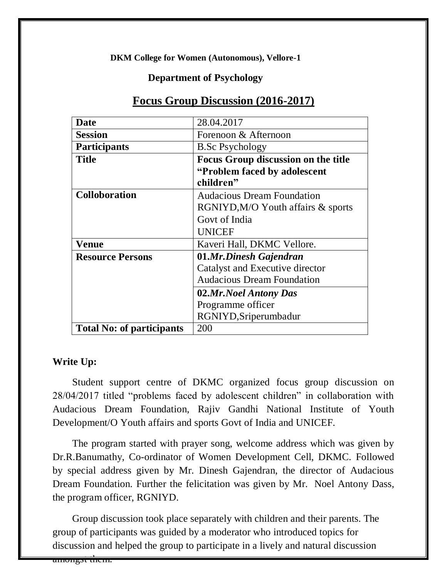**DKM College for Women (Autonomous), Vellore-1**

## **Department of Psychology**

| <b>Date</b>                      | 28.04.2017                                 |
|----------------------------------|--------------------------------------------|
| <b>Session</b>                   | Forenoon & Afternoon                       |
| <b>Participants</b>              | <b>B.Sc Psychology</b>                     |
| <b>Title</b>                     | <b>Focus Group discussion on the title</b> |
|                                  | "Problem faced by adolescent"              |
|                                  | children"                                  |
| <b>Colloboration</b>             | <b>Audacious Dream Foundation</b>          |
|                                  | RGNIYD, M/O Youth affairs & sports         |
|                                  | Govt of India                              |
|                                  | <b>UNICEF</b>                              |
| Venue                            | Kaveri Hall, DKMC Vellore.                 |
| <b>Resource Persons</b>          | 01.Mr.Dinesh Gajendran                     |
|                                  | Catalyst and Executive director            |
|                                  | <b>Audacious Dream Foundation</b>          |
|                                  | 02.Mr.Noel Antony Das                      |
|                                  | Programme officer                          |
|                                  | RGNIYD, Sriperumbadur                      |
| <b>Total No: of participants</b> | 200                                        |

## **Focus Group Discussion (2016-2017)**

## **Write Up:**

Student support centre of DKMC organized focus group discussion on 28/04/2017 titled "problems faced by adolescent children" in collaboration with Audacious Dream Foundation, Rajiv Gandhi National Institute of Youth Development/O Youth affairs and sports Govt of India and UNICEF.

The program started with prayer song, welcome address which was given by Dr.R.Banumathy, Co-ordinator of Women Development Cell, DKMC. Followed by special address given by Mr. Dinesh Gajendran, the director of Audacious Dream Foundation. Further the felicitation was given by Mr. Noel Antony Dass, the program officer, RGNIYD.

Group discussion took place separately with children and their parents. The group of participants was guided by a moderator who introduced topics for discussion and helped the group to participate in a lively and natural discussion

amongst them.